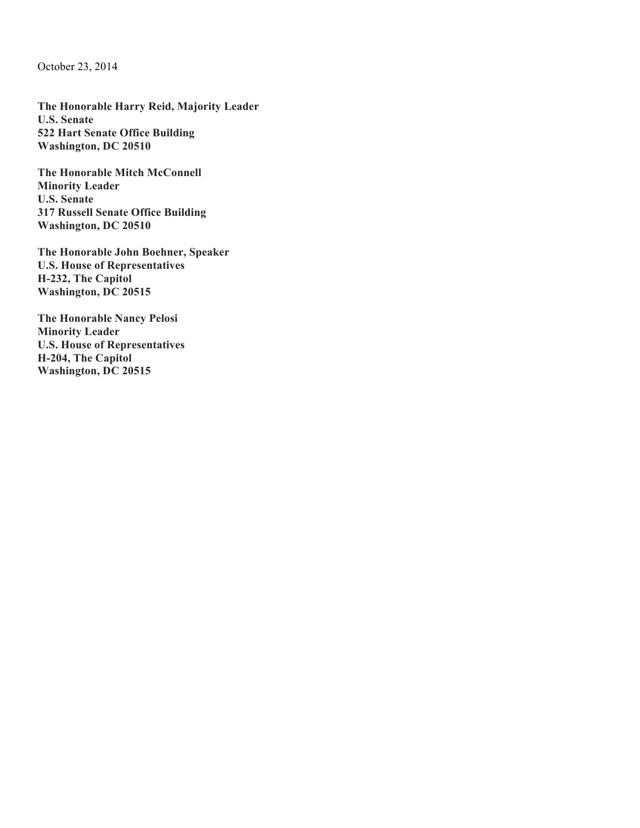October 23, 2014

**The Honorable Harry Reid, Majority Leader U.S. Senate 522 Hart Senate Office Building Washington, DC 20510**

**The Honorable Mitch McConnell Minority Leader U.S. Senate 317 Russell Senate Office Building Washington, DC 20510**

**The Honorable John Boehner, Speaker U.S. House of Representatives H-232, The Capitol Washington, DC 20515**

**The Honorable Nancy Pelosi Minority Leader U.S. House of Representatives H-204, The Capitol Washington, DC 20515**